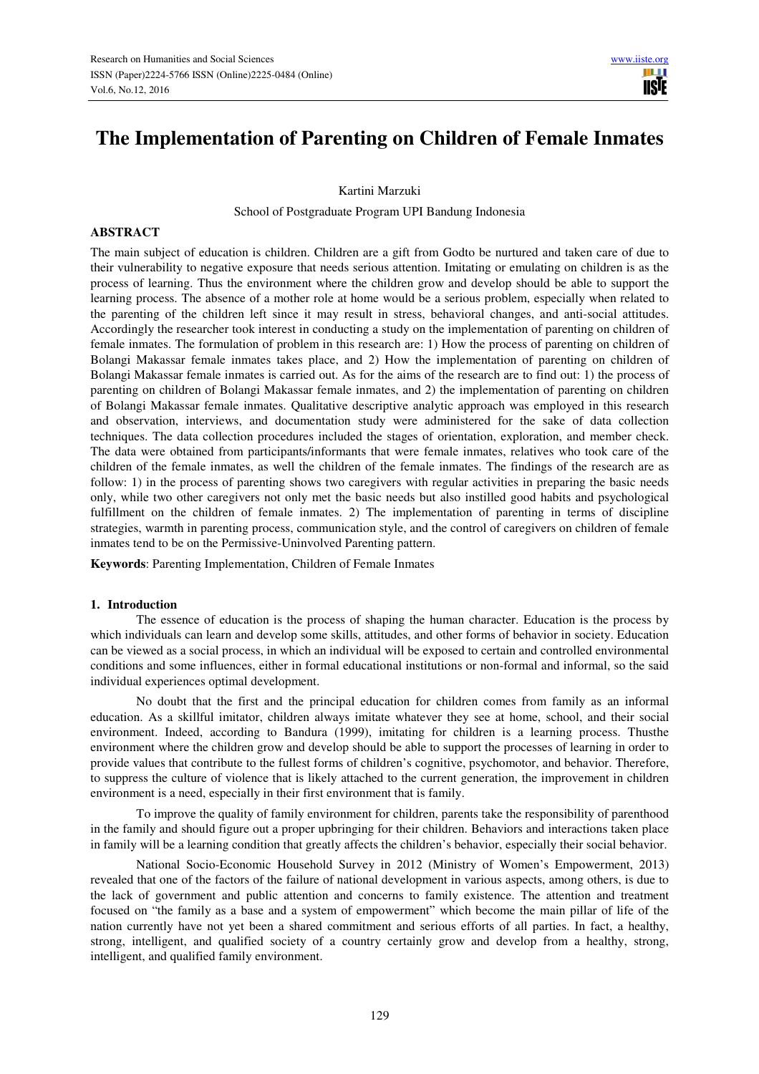Ш **TISIE** 

Kartini Marzuki

School of Postgraduate Program UPI Bandung Indonesia

## **ABSTRACT**

The main subject of education is children. Children are a gift from Godto be nurtured and taken care of due to their vulnerability to negative exposure that needs serious attention. Imitating or emulating on children is as the process of learning. Thus the environment where the children grow and develop should be able to support the learning process. The absence of a mother role at home would be a serious problem, especially when related to the parenting of the children left since it may result in stress, behavioral changes, and anti-social attitudes. Accordingly the researcher took interest in conducting a study on the implementation of parenting on children of female inmates. The formulation of problem in this research are: 1) How the process of parenting on children of Bolangi Makassar female inmates takes place, and 2) How the implementation of parenting on children of Bolangi Makassar female inmates is carried out. As for the aims of the research are to find out: 1) the process of parenting on children of Bolangi Makassar female inmates, and 2) the implementation of parenting on children of Bolangi Makassar female inmates. Qualitative descriptive analytic approach was employed in this research and observation, interviews, and documentation study were administered for the sake of data collection techniques. The data collection procedures included the stages of orientation, exploration, and member check. The data were obtained from participants/informants that were female inmates, relatives who took care of the children of the female inmates, as well the children of the female inmates. The findings of the research are as follow: 1) in the process of parenting shows two caregivers with regular activities in preparing the basic needs only, while two other caregivers not only met the basic needs but also instilled good habits and psychological fulfillment on the children of female inmates. 2) The implementation of parenting in terms of discipline strategies, warmth in parenting process, communication style, and the control of caregivers on children of female inmates tend to be on the Permissive-Uninvolved Parenting pattern.

**Keywords**: Parenting Implementation, Children of Female Inmates

### **1. Introduction**

The essence of education is the process of shaping the human character. Education is the process by which individuals can learn and develop some skills, attitudes, and other forms of behavior in society. Education can be viewed as a social process, in which an individual will be exposed to certain and controlled environmental conditions and some influences, either in formal educational institutions or non-formal and informal, so the said individual experiences optimal development.

No doubt that the first and the principal education for children comes from family as an informal education. As a skillful imitator, children always imitate whatever they see at home, school, and their social environment. Indeed, according to Bandura (1999), imitating for children is a learning process. Thusthe environment where the children grow and develop should be able to support the processes of learning in order to provide values that contribute to the fullest forms of children's cognitive, psychomotor, and behavior. Therefore, to suppress the culture of violence that is likely attached to the current generation, the improvement in children environment is a need, especially in their first environment that is family.

To improve the quality of family environment for children, parents take the responsibility of parenthood in the family and should figure out a proper upbringing for their children. Behaviors and interactions taken place in family will be a learning condition that greatly affects the children's behavior, especially their social behavior.

National Socio-Economic Household Survey in 2012 (Ministry of Women's Empowerment, 2013) revealed that one of the factors of the failure of national development in various aspects, among others, is due to the lack of government and public attention and concerns to family existence. The attention and treatment focused on "the family as a base and a system of empowerment" which become the main pillar of life of the nation currently have not yet been a shared commitment and serious efforts of all parties. In fact, a healthy, strong, intelligent, and qualified society of a country certainly grow and develop from a healthy, strong, intelligent, and qualified family environment.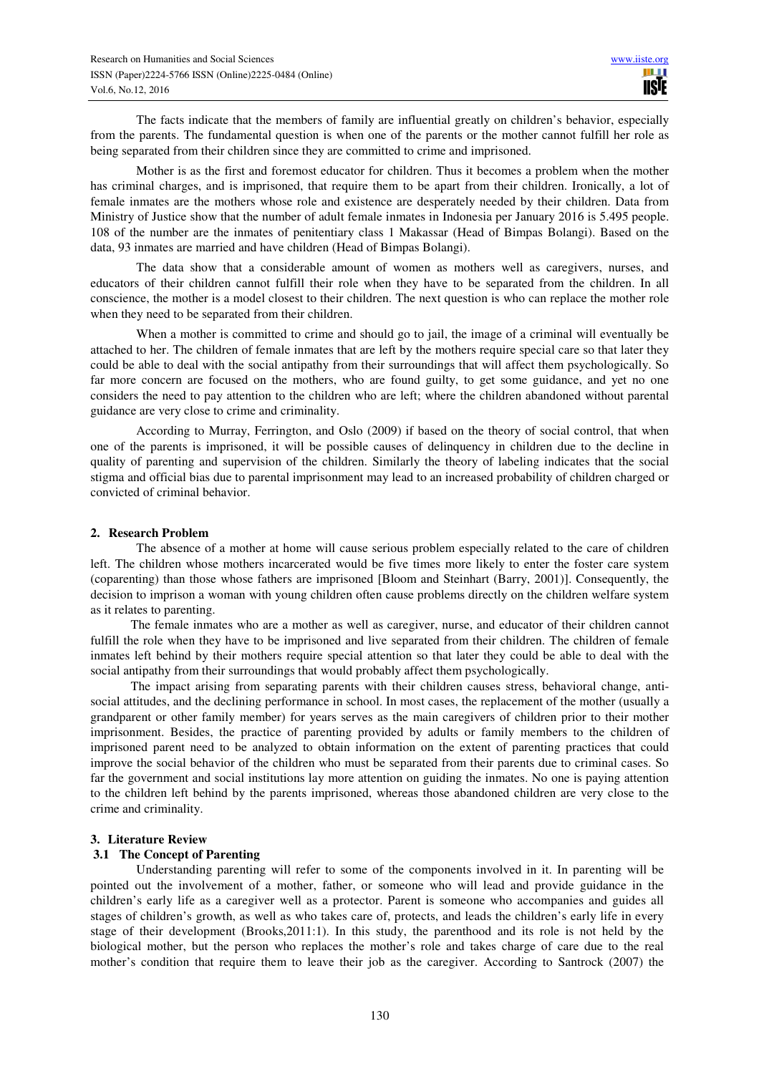The facts indicate that the members of family are influential greatly on children's behavior, especially from the parents. The fundamental question is when one of the parents or the mother cannot fulfill her role as being separated from their children since they are committed to crime and imprisoned.

Mother is as the first and foremost educator for children. Thus it becomes a problem when the mother has criminal charges, and is imprisoned, that require them to be apart from their children. Ironically, a lot of female inmates are the mothers whose role and existence are desperately needed by their children. Data from Ministry of Justice show that the number of adult female inmates in Indonesia per January 2016 is 5.495 people. 108 of the number are the inmates of penitentiary class 1 Makassar (Head of Bimpas Bolangi). Based on the data, 93 inmates are married and have children (Head of Bimpas Bolangi).

The data show that a considerable amount of women as mothers well as caregivers, nurses, and educators of their children cannot fulfill their role when they have to be separated from the children. In all conscience, the mother is a model closest to their children. The next question is who can replace the mother role when they need to be separated from their children.

When a mother is committed to crime and should go to jail, the image of a criminal will eventually be attached to her. The children of female inmates that are left by the mothers require special care so that later they could be able to deal with the social antipathy from their surroundings that will affect them psychologically. So far more concern are focused on the mothers, who are found guilty, to get some guidance, and yet no one considers the need to pay attention to the children who are left; where the children abandoned without parental guidance are very close to crime and criminality.

According to Murray, Ferrington, and Oslo (2009) if based on the theory of social control, that when one of the parents is imprisoned, it will be possible causes of delinquency in children due to the decline in quality of parenting and supervision of the children. Similarly the theory of labeling indicates that the social stigma and official bias due to parental imprisonment may lead to an increased probability of children charged or convicted of criminal behavior.

### **2. Research Problem**

The absence of a mother at home will cause serious problem especially related to the care of children left. The children whose mothers incarcerated would be five times more likely to enter the foster care system (coparenting) than those whose fathers are imprisoned [Bloom and Steinhart (Barry, 2001)]. Consequently, the decision to imprison a woman with young children often cause problems directly on the children welfare system as it relates to parenting.

The female inmates who are a mother as well as caregiver, nurse, and educator of their children cannot fulfill the role when they have to be imprisoned and live separated from their children. The children of female inmates left behind by their mothers require special attention so that later they could be able to deal with the social antipathy from their surroundings that would probably affect them psychologically.

The impact arising from separating parents with their children causes stress, behavioral change, antisocial attitudes, and the declining performance in school. In most cases, the replacement of the mother (usually a grandparent or other family member) for years serves as the main caregivers of children prior to their mother imprisonment. Besides, the practice of parenting provided by adults or family members to the children of imprisoned parent need to be analyzed to obtain information on the extent of parenting practices that could improve the social behavior of the children who must be separated from their parents due to criminal cases. So far the government and social institutions lay more attention on guiding the inmates. No one is paying attention to the children left behind by the parents imprisoned, whereas those abandoned children are very close to the crime and criminality.

### **3. Literature Review**

## **3.1 The Concept of Parenting**

Understanding parenting will refer to some of the components involved in it. In parenting will be pointed out the involvement of a mother, father, or someone who will lead and provide guidance in the children's early life as a caregiver well as a protector. Parent is someone who accompanies and guides all stages of children's growth, as well as who takes care of, protects, and leads the children's early life in every stage of their development (Brooks,2011:1). In this study, the parenthood and its role is not held by the biological mother, but the person who replaces the mother's role and takes charge of care due to the real mother's condition that require them to leave their job as the caregiver. According to Santrock (2007) the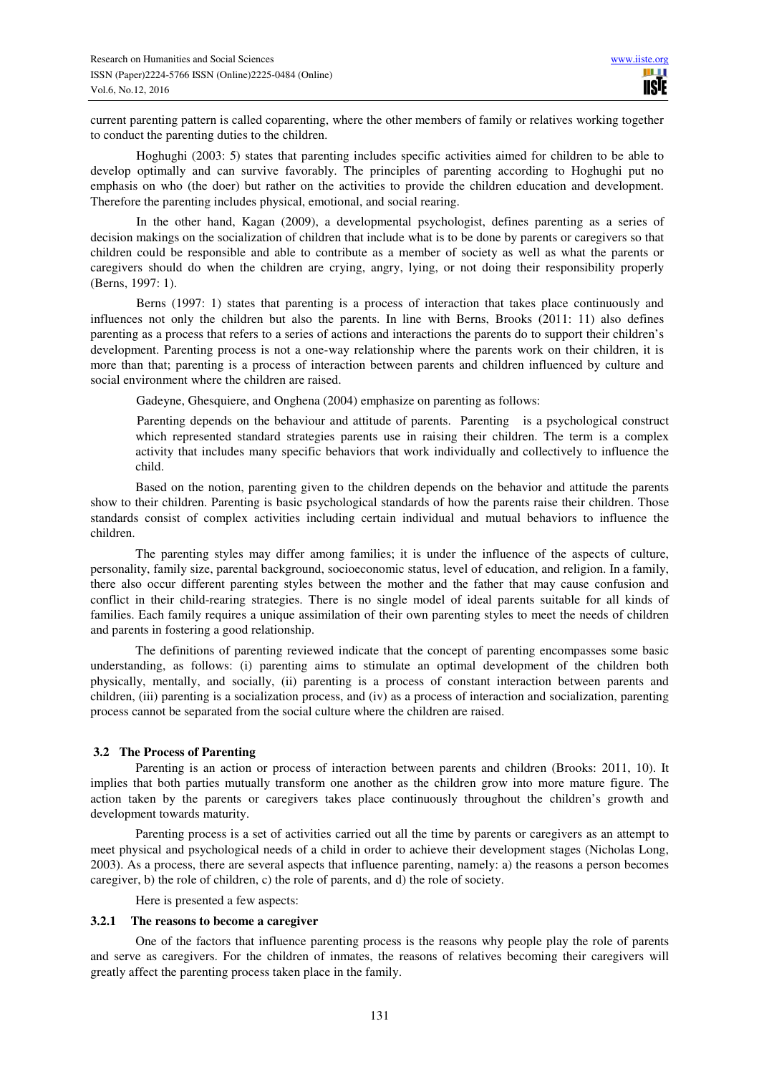current parenting pattern is called coparenting, where the other members of family or relatives working together to conduct the parenting duties to the children.

Hoghughi (2003: 5) states that parenting includes specific activities aimed for children to be able to develop optimally and can survive favorably. The principles of parenting according to Hoghughi put no emphasis on who (the doer) but rather on the activities to provide the children education and development. Therefore the parenting includes physical, emotional, and social rearing.

In the other hand, Kagan (2009), a developmental psychologist, defines parenting as a series of decision makings on the socialization of children that include what is to be done by parents or caregivers so that children could be responsible and able to contribute as a member of society as well as what the parents or caregivers should do when the children are crying, angry, lying, or not doing their responsibility properly (Berns, 1997: 1).

Berns (1997: 1) states that parenting is a process of interaction that takes place continuously and influences not only the children but also the parents. In line with Berns, Brooks (2011: 11) also defines parenting as a process that refers to a series of actions and interactions the parents do to support their children's development. Parenting process is not a one-way relationship where the parents work on their children, it is more than that; parenting is a process of interaction between parents and children influenced by culture and social environment where the children are raised.

Gadeyne, Ghesquiere, and Onghena (2004) emphasize on parenting as follows:

Parenting depends on the behaviour and attitude of parents. Parenting is a psychological construct which represented standard strategies parents use in raising their children. The term is a complex activity that includes many specific behaviors that work individually and collectively to influence the child.

Based on the notion, parenting given to the children depends on the behavior and attitude the parents show to their children. Parenting is basic psychological standards of how the parents raise their children. Those standards consist of complex activities including certain individual and mutual behaviors to influence the children.

The parenting styles may differ among families; it is under the influence of the aspects of culture, personality, family size, parental background, socioeconomic status, level of education, and religion. In a family, there also occur different parenting styles between the mother and the father that may cause confusion and conflict in their child-rearing strategies. There is no single model of ideal parents suitable for all kinds of families. Each family requires a unique assimilation of their own parenting styles to meet the needs of children and parents in fostering a good relationship.

The definitions of parenting reviewed indicate that the concept of parenting encompasses some basic understanding, as follows: (i) parenting aims to stimulate an optimal development of the children both physically, mentally, and socially, (ii) parenting is a process of constant interaction between parents and children, (iii) parenting is a socialization process, and (iv) as a process of interaction and socialization, parenting process cannot be separated from the social culture where the children are raised.

### **3.2 The Process of Parenting**

Parenting is an action or process of interaction between parents and children (Brooks: 2011, 10). It implies that both parties mutually transform one another as the children grow into more mature figure. The action taken by the parents or caregivers takes place continuously throughout the children's growth and development towards maturity.

Parenting process is a set of activities carried out all the time by parents or caregivers as an attempt to meet physical and psychological needs of a child in order to achieve their development stages (Nicholas Long, 2003). As a process, there are several aspects that influence parenting, namely: a) the reasons a person becomes caregiver, b) the role of children, c) the role of parents, and d) the role of society.

Here is presented a few aspects:

#### **3.2.1 The reasons to become a caregiver**

One of the factors that influence parenting process is the reasons why people play the role of parents and serve as caregivers. For the children of inmates, the reasons of relatives becoming their caregivers will greatly affect the parenting process taken place in the family.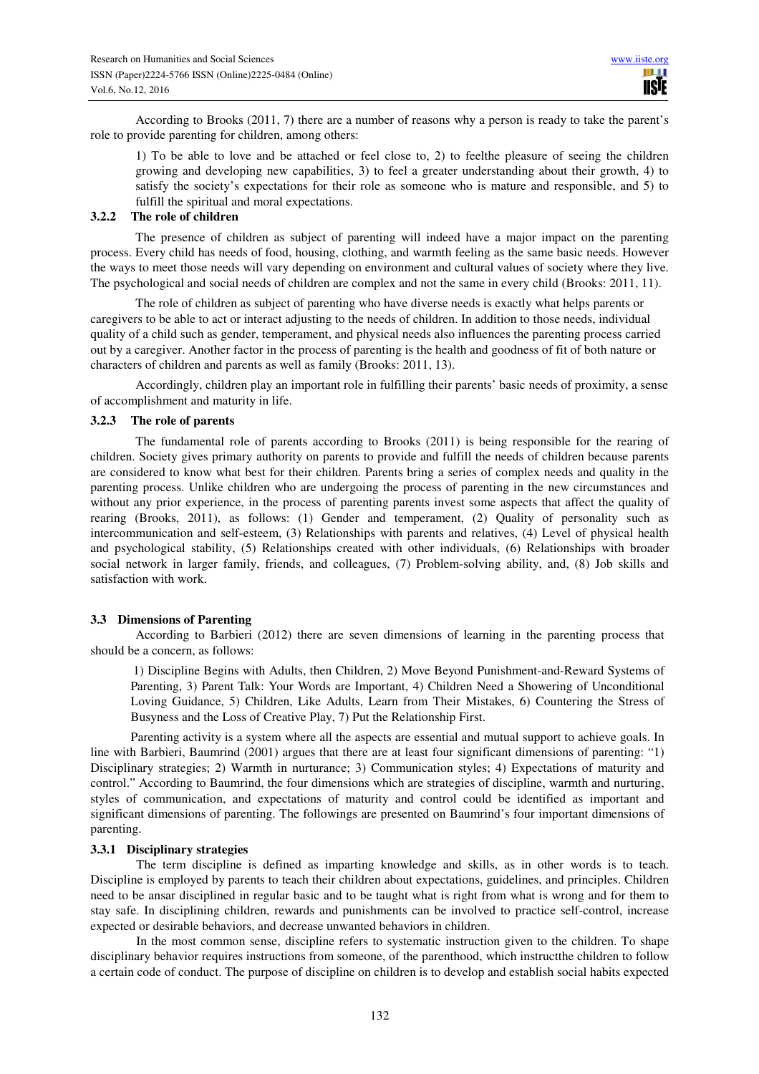According to Brooks (2011, 7) there are a number of reasons why a person is ready to take the parent's role to provide parenting for children, among others:

1) To be able to love and be attached or feel close to, 2) to feelthe pleasure of seeing the children growing and developing new capabilities, 3) to feel a greater understanding about their growth, 4) to satisfy the society's expectations for their role as someone who is mature and responsible, and 5) to fulfill the spiritual and moral expectations.

# **3.2.2 The role of children**

The presence of children as subject of parenting will indeed have a major impact on the parenting process. Every child has needs of food, housing, clothing, and warmth feeling as the same basic needs. However the ways to meet those needs will vary depending on environment and cultural values of society where they live. The psychological and social needs of children are complex and not the same in every child (Brooks: 2011, 11).

The role of children as subject of parenting who have diverse needs is exactly what helps parents or caregivers to be able to act or interact adjusting to the needs of children. In addition to those needs, individual quality of a child such as gender, temperament, and physical needs also influences the parenting process carried out by a caregiver. Another factor in the process of parenting is the health and goodness of fit of both nature or characters of children and parents as well as family (Brooks: 2011, 13).

Accordingly, children play an important role in fulfilling their parents' basic needs of proximity, a sense of accomplishment and maturity in life.

#### **3.2.3 The role of parents**

The fundamental role of parents according to Brooks (2011) is being responsible for the rearing of children. Society gives primary authority on parents to provide and fulfill the needs of children because parents are considered to know what best for their children. Parents bring a series of complex needs and quality in the parenting process. Unlike children who are undergoing the process of parenting in the new circumstances and without any prior experience, in the process of parenting parents invest some aspects that affect the quality of rearing (Brooks, 2011), as follows: (1) Gender and temperament, (2) Quality of personality such as intercommunication and self-esteem, (3) Relationships with parents and relatives, (4) Level of physical health and psychological stability, (5) Relationships created with other individuals, (6) Relationships with broader social network in larger family, friends, and colleagues, (7) Problem-solving ability, and, (8) Job skills and satisfaction with work.

### **3.3 Dimensions of Parenting**

According to Barbieri (2012) there are seven dimensions of learning in the parenting process that should be a concern, as follows:

1) Discipline Begins with Adults, then Children, 2) Move Beyond Punishment-and-Reward Systems of Parenting, 3) Parent Talk: Your Words are Important, 4) Children Need a Showering of Unconditional Loving Guidance, 5) Children, Like Adults, Learn from Their Mistakes, 6) Countering the Stress of Busyness and the Loss of Creative Play, 7) Put the Relationship First.

Parenting activity is a system where all the aspects are essential and mutual support to achieve goals. In line with Barbieri, Baumrind (2001) argues that there are at least four significant dimensions of parenting: "1) Disciplinary strategies; 2) Warmth in nurturance; 3) Communication styles; 4) Expectations of maturity and control." According to Baumrind, the four dimensions which are strategies of discipline, warmth and nurturing, styles of communication, and expectations of maturity and control could be identified as important and significant dimensions of parenting. The followings are presented on Baumrind's four important dimensions of parenting.

#### **3.3.1 Disciplinary strategies**

The term discipline is defined as imparting knowledge and skills, as in other words is to teach. Discipline is employed by parents to teach their children about expectations, guidelines, and principles. Children need to be ansar disciplined in regular basic and to be taught what is right from what is wrong and for them to stay safe. In disciplining children, rewards and punishments can be involved to practice self-control, increase expected or desirable behaviors, and decrease unwanted behaviors in children.

In the most common sense, discipline refers to systematic instruction given to the children. To shape disciplinary behavior requires instructions from someone, of the parenthood, which instructthe children to follow a certain code of conduct. The purpose of discipline on children is to develop and establish social habits expected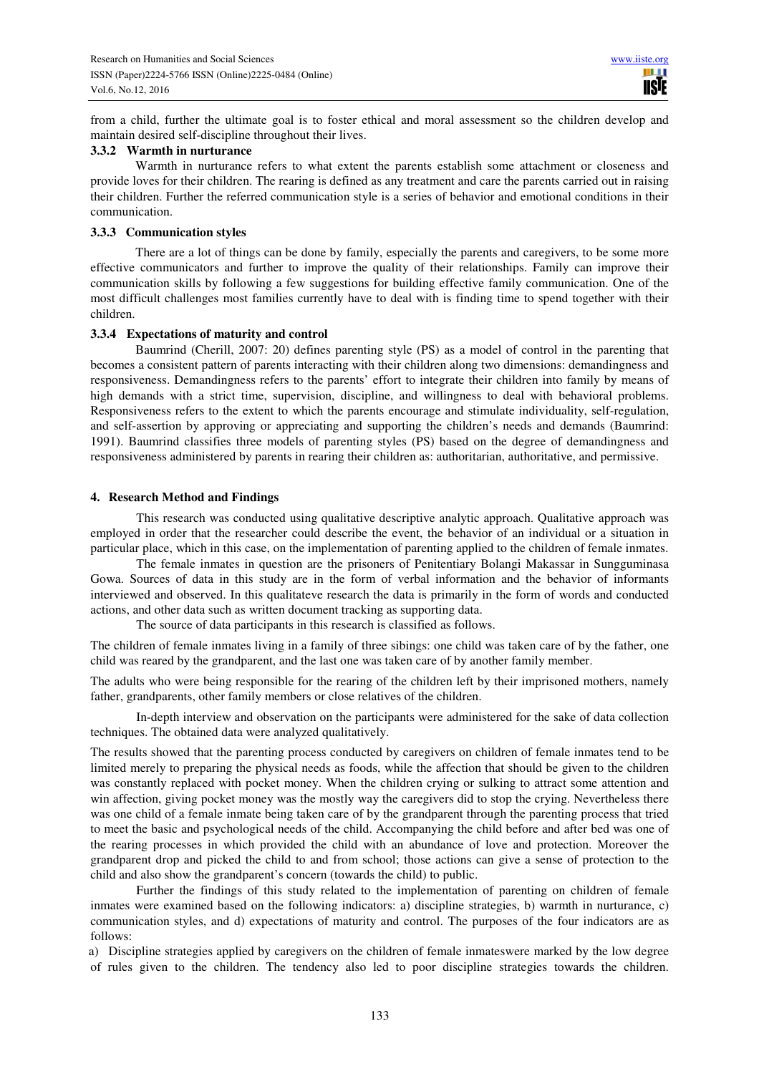from a child, further the ultimate goal is to foster ethical and moral assessment so the children develop and maintain desired self-discipline throughout their lives.

# **3.3.2 Warmth in nurturance**

Warmth in nurturance refers to what extent the parents establish some attachment or closeness and provide loves for their children. The rearing is defined as any treatment and care the parents carried out in raising their children. Further the referred communication style is a series of behavior and emotional conditions in their communication.

## **3.3.3 Communication styles**

There are a lot of things can be done by family, especially the parents and caregivers, to be some more effective communicators and further to improve the quality of their relationships. Family can improve their communication skills by following a few suggestions for building effective family communication. One of the most difficult challenges most families currently have to deal with is finding time to spend together with their children.

# **3.3.4 Expectations of maturity and control**

Baumrind (Cherill, 2007: 20) defines parenting style (PS) as a model of control in the parenting that becomes a consistent pattern of parents interacting with their children along two dimensions: demandingness and responsiveness. Demandingness refers to the parents' effort to integrate their children into family by means of high demands with a strict time, supervision, discipline, and willingness to deal with behavioral problems. Responsiveness refers to the extent to which the parents encourage and stimulate individuality, self-regulation, and self-assertion by approving or appreciating and supporting the children's needs and demands (Baumrind: 1991). Baumrind classifies three models of parenting styles (PS) based on the degree of demandingness and responsiveness administered by parents in rearing their children as: authoritarian, authoritative, and permissive.

# **4. Research Method and Findings**

This research was conducted using qualitative descriptive analytic approach. Qualitative approach was employed in order that the researcher could describe the event, the behavior of an individual or a situation in particular place, which in this case, on the implementation of parenting applied to the children of female inmates.

The female inmates in question are the prisoners of Penitentiary Bolangi Makassar in Sungguminasa Gowa. Sources of data in this study are in the form of verbal information and the behavior of informants interviewed and observed. In this qualitateve research the data is primarily in the form of words and conducted actions, and other data such as written document tracking as supporting data.

The source of data participants in this research is classified as follows.

The children of female inmates living in a family of three sibings: one child was taken care of by the father, one child was reared by the grandparent, and the last one was taken care of by another family member.

The adults who were being responsible for the rearing of the children left by their imprisoned mothers, namely father, grandparents, other family members or close relatives of the children.

In-depth interview and observation on the participants were administered for the sake of data collection techniques. The obtained data were analyzed qualitatively.

The results showed that the parenting process conducted by caregivers on children of female inmates tend to be limited merely to preparing the physical needs as foods, while the affection that should be given to the children was constantly replaced with pocket money. When the children crying or sulking to attract some attention and win affection, giving pocket money was the mostly way the caregivers did to stop the crying. Nevertheless there was one child of a female inmate being taken care of by the grandparent through the parenting process that tried to meet the basic and psychological needs of the child. Accompanying the child before and after bed was one of the rearing processes in which provided the child with an abundance of love and protection. Moreover the grandparent drop and picked the child to and from school; those actions can give a sense of protection to the child and also show the grandparent's concern (towards the child) to public.

 Further the findings of this study related to the implementation of parenting on children of female inmates were examined based on the following indicators: a) discipline strategies, b) warmth in nurturance, c) communication styles, and d) expectations of maturity and control. The purposes of the four indicators are as follows:

a) Discipline strategies applied by caregivers on the children of female inmateswere marked by the low degree of rules given to the children. The tendency also led to poor discipline strategies towards the children.